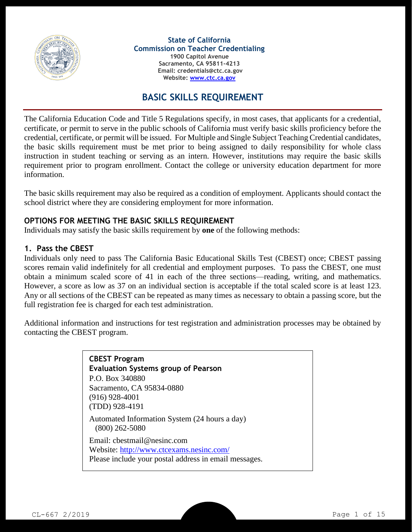

#### **State of California Commission on Teacher Credentialing**

**1900 Capitol Avenue Sacramento, CA 95811-4213 Email: credentials@ctc.ca.gov Website: [www.ctc.ca.gov](http://www.ctc.ca.gov/)**

### **BASIC SKILLS REQUIREMENT**

The California Education Code and Title 5 Regulations specify, in most cases, that applicants for a credential, certificate, or permit to serve in the public schools of California must verify basic skills proficiency before the credential, certificate, or permit will be issued. For Multiple and Single Subject Teaching Credential candidates, the basic skills requirement must be met prior to being assigned to daily responsibility for whole class instruction in student teaching or serving as an intern. However, institutions may require the basic skills requirement prior to program enrollment. Contact the college or university education department for more information.

The basic skills requirement may also be required as a condition of employment. Applicants should contact the school district where they are considering employment for more information.

#### **OPTIONS FOR MEETING THE BASIC SKILLS REQUIREMENT**

Individuals may satisfy the basic skills requirement by **one** of the following methods:

#### **1. Pass the CBEST**

Individuals only need to pass The California Basic Educational Skills Test (CBEST) once; CBEST passing scores remain valid indefinitely for all credential and employment purposes. To pass the CBEST, one must obtain a minimum scaled score of 41 in each of the three sections—reading, writing, and mathematics. However, a score as low as 37 on an individual section is acceptable if the total scaled score is at least 123. Any or all sections of the CBEST can be repeated as many times as necessary to obtain a passing score, but the full registration fee is charged for each test administration.

Additional information and instructions for test registration and administration processes may be obtained by contacting the CBEST program.

| <b>CBEST Program</b><br><b>Evaluation Systems group of Pearson</b><br>P.O. Box 340880<br>Sacramento, CA 95834-0880<br>$(916)$ 928-4001 |
|----------------------------------------------------------------------------------------------------------------------------------------|
| (TDD) 928-4191<br>Automated Information System (24 hours a day)<br>$(800)$ 262-5080                                                    |
| Email: chestmail@nesinc.com<br>Website: http://www.ctcexams.nesinc.com/<br>Please include your postal address in email messages.       |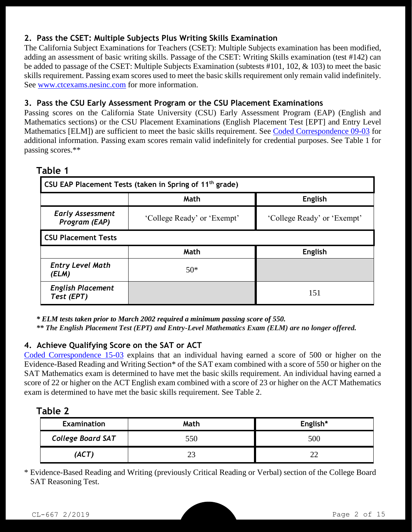# **2. Pass the CSET: Multiple Subjects Plus Writing Skills Examination**

The California Subject Examinations for Teachers (CSET): Multiple Subjects examination has been modified, adding an assessment of basic writing skills. Passage of the CSET: Writing Skills examination (test #142) can be added to passage of the CSET: Multiple Subjects Examination (subtests #101, 102, & 103) to meet the basic skills requirement. Passing exam scores used to meet the basic skills requirement only remain valid indefinitely. See [www.ctcexams.nesinc.com](http://www.ctcexams.nesinc.com/) for more information.

### **3. Pass the CSU Early Assessment Program or the CSU Placement Examinations**

Passing scores on the California State University (CSU) Early Assessment Program (EAP) (English and Mathematics sections) or the CSU Placement Examinations (English Placement Test [EPT] and Entry Level Mathematics [ELM]) are sufficient to meet the basic skills requirement. See [Coded Correspondence 09-03](http://www.ctc.ca.gov/notices/coded/2009/0903.pdf) for additional information. Passing exam scores remain valid indefinitely for credential purposes. See Table 1 for passing scores.\*\*

| <b>CSU EAP Placement Tests (taken in Spring of 11<sup>th</sup> grade)</b> |                             |                             |  |  |  |  |
|---------------------------------------------------------------------------|-----------------------------|-----------------------------|--|--|--|--|
|                                                                           | Math<br><b>English</b>      |                             |  |  |  |  |
| <b>Early Assessment</b><br>Program (EAP)                                  | 'College Ready' or 'Exempt' | 'College Ready' or 'Exempt' |  |  |  |  |
| <b>CSU Placement Tests</b>                                                |                             |                             |  |  |  |  |
|                                                                           | Math                        | <b>English</b>              |  |  |  |  |
| <b>Entry Level Math</b><br>(ELM)                                          | $50*$                       |                             |  |  |  |  |
| <b>English Placement</b><br>Test (EPT)                                    |                             | 151                         |  |  |  |  |

### **Table 1**

*\* ELM tests taken prior to March 2002 required a minimum passing score of 550.*

*\*\* The English Placement Test (EPT) and Entry-Level Mathematics Exam (ELM) are no longer offered.*

### **4. Achieve Qualifying Score on the SAT or ACT**

[Coded Correspondence 15-03](http://www.ctc.ca.gov/notices/coded/2015/1503.pdf) explains that an individual having earned a score of 500 or higher on the Evidence-Based Reading and Writing Section\* of the SAT exam combined with a score of 550 or higher on the SAT Mathematics exam is determined to have met the basic skills requirement. An individual having earned a score of 22 or higher on the ACT English exam combined with a score of 23 or higher on the ACT Mathematics exam is determined to have met the basic skills requirement. See Table 2.

| I<br>Ð<br> |  |
|------------|--|
|------------|--|

| <b>Examination</b>       | Math | English* |
|--------------------------|------|----------|
| <b>College Board SAT</b> | 550  | 500      |
| (ACT)                    |      |          |

\* Evidence-Based Reading and Writing (previously Critical Reading or Verbal) section of the College Board SAT Reasoning Test.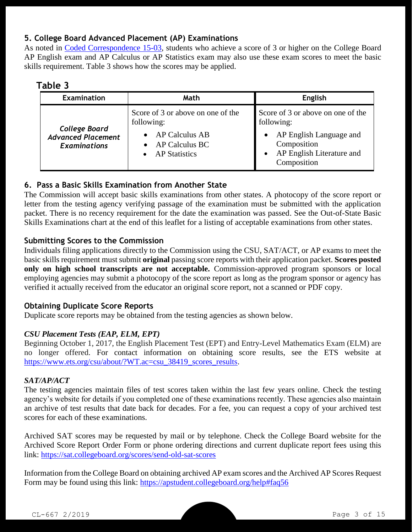## **5. College Board Advanced Placement (AP) Examinations**

As noted in [Coded Correspondence 15-03,](http://www.ctc.ca.gov/notices/coded/2015/1503.pdf) students who achieve a score of 3 or higher on the College Board AP English exam and AP Calculus or AP Statistics exam may also use these exam scores to meet the basic skills requirement. Table 3 shows how the scores may be applied.

## **Table 3**

| <b>Examination</b>                               | Math                                                     | <b>English</b>                                                                     |
|--------------------------------------------------|----------------------------------------------------------|------------------------------------------------------------------------------------|
| <b>College Board</b>                             | Score of 3 or above on one of the<br>following:          | Score of 3 or above on one of the<br>following:                                    |
| <b>Advanced Placement</b><br><b>Examinations</b> | AP Calculus AB<br>AP Calculus BC<br><b>AP Statistics</b> | AP English Language and<br>Composition<br>AP English Literature and<br>Composition |

## **6. Pass a Basic Skills Examination from Another State**

The Commission will accept basic skills examinations from other states. A photocopy of the score report or letter from the testing agency verifying passage of the examination must be submitted with the application packet. There is no recency requirement for the date the examination was passed. See the Out-of-State Basic Skills Examinations chart at the end of this leaflet for a listing of acceptable examinations from other states.

#### **Submitting Scores to the Commission**

Individuals filing applications directly to the Commission using the CSU, SAT/ACT, or AP exams to meet the basic skills requirement must submit **original** passing score reports with their application packet. **Scores posted only on high school transcripts are not acceptable.** Commission-approved program sponsors or local employing agencies may submit a photocopy of the score report as long as the program sponsor or agency has verified it actually received from the educator an original score report, not a scanned or PDF copy.

### **Obtaining Duplicate Score Reports**

Duplicate score reports may be obtained from the testing agencies as shown below.

### *CSU Placement Tests (EAP, ELM, EPT)*

Beginning October 1, 2017, the English Placement Test (EPT) and Entry-Level Mathematics Exam (ELM) are no longer offered. For contact information on obtaining score results, see the ETS website at [https://www.ets.org/csu/about/?WT.ac=csu\\_38419\\_scores\\_results.](https://www.ets.org/csu/about/?WT.ac=csu_38419_scores_results)

### *SAT/AP/ACT*

The testing agencies maintain files of test scores taken within the last few years online. Check the testing agency's website for details if you completed one of these examinations recently. These agencies also maintain an archive of test results that date back for decades. For a fee, you can request a copy of your archived test scores for each of these examinations.

Archived SAT scores may be requested by mail or by telephone. Check the College Board website for the Archived Score Report Order Form or phone ordering directions and current duplicate report fees using this link: <https://sat.collegeboard.org/scores/send-old-sat-scores>

Information from the College Board on obtaining archived AP exam scores and the Archived AP Scores Request Form may be found using this link:<https://apstudent.collegeboard.org/help#faq56>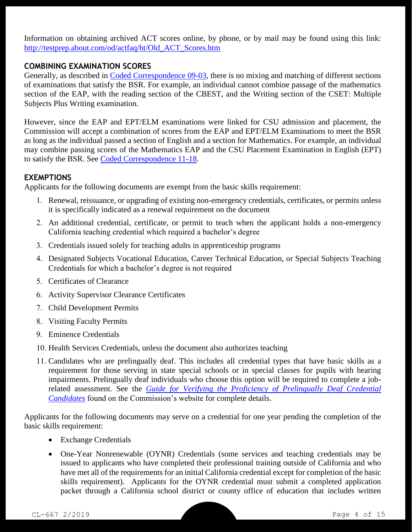Information on obtaining archived ACT scores online, by phone, or by mail may be found using this link: [http://testprep.about.com/od/actfaq/ht/Old\\_ACT\\_Scores.htm](http://testprep.about.com/od/actfaq/ht/Old_ACT_Scores.htm)

## **COMBINING EXAMINATION SCORES**

Generally, as described in [Coded Correspondence 09-03,](http://www.ctc.ca.gov/notices/coded/2009/0903.pdf) there is no mixing and matching of different sections of examinations that satisfy the BSR. For example, an individual cannot combine passage of the mathematics section of the EAP, with the reading section of the CBEST, and the Writing section of the CSET: Multiple Subjects Plus Writing examination.

However, since the EAP and EPT/ELM examinations were linked for CSU admission and placement, the Commission will accept a combination of scores from the EAP and EPT/ELM Examinations to meet the BSR as long as the individual passed a section of English and a section for Mathematics. For example, an individual may combine passing scores of the Mathematics EAP and the CSU Placement Examination in English (EPT) to satisfy the BSR. See [Coded Correspondence 11-18.](http://www.ctc.ca.gov/notices/coded/2011/1118.pdf)

#### **EXEMPTIONS**

Applicants for the following documents are exempt from the basic skills requirement:

- 1. Renewal, reissuance, or upgrading of existing non-emergency credentials, certificates, or permits unless it is specifically indicated as a renewal requirement on the document
- 2. An additional credential, certificate, or permit to teach when the applicant holds a non-emergency California teaching credential which required a bachelor's degree
- 3. Credentials issued solely for teaching adults in apprenticeship programs
- 4. Designated Subjects Vocational Education, Career Technical Education, or Special Subjects Teaching Credentials for which a bachelor's degree is not required
- 5. Certificates of Clearance
- 6. Activity Supervisor Clearance Certificates
- 7. Child Development Permits
- 8. Visiting Faculty Permits
- 9. Eminence Credentials
- 10. Health Services Credentials, unless the document also authorizes teaching
- 11. Candidates who are prelingually deaf. This includes all credential types that have basic skills as a requirement for those serving in state special schools or in special classes for pupils with hearing impairments. Prelingually deaf individuals who choose this option will be required to complete a jobrelated assessment. See the *[Guide for Verifying the Proficiency of Prelingually Deaf Credential](http://www.ctc.ca.gov/credentials/manuals-handbooks/PD_Manual.pdf)  [Candidates](http://www.ctc.ca.gov/credentials/manuals-handbooks/PD_Manual.pdf)* found on the Commission's website for complete details.

Applicants for the following documents may serve on a credential for one year pending the completion of the basic skills requirement:

- Exchange Credentials
- One-Year Nonrenewable (OYNR) Credentials (some services and teaching credentials may be issued to applicants who have completed their professional training outside of California and who have met all of the requirements for an initial California credential except for completion of the basic skills requirement). Applicants for the OYNR credential must submit a completed application packet through a California school district or county office of education that includes written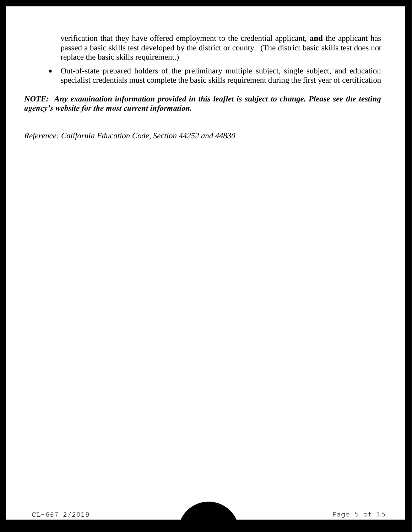verification that they have offered employment to the credential applicant, **and** the applicant has passed a basic skills test developed by the district or county. (The district basic skills test does not replace the basic skills requirement.)

 Out-of-state prepared holders of the preliminary multiple subject, single subject, and education specialist credentials must complete the basic skills requirement during the first year of certification

#### *NOTE: Any examination information provided in this leaflet is subject to change. Please see the testing agency's website for the most current information.*

*Reference: California Education Code, Section 44252 and 44830*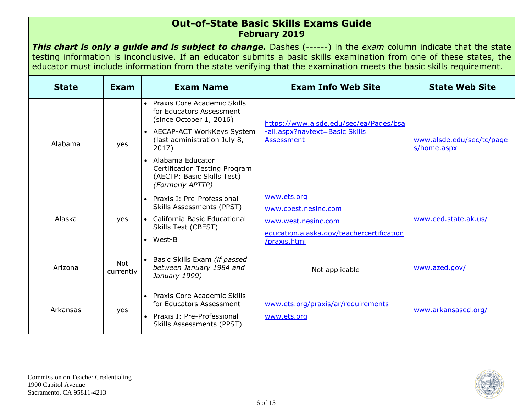#### **Out-of-State Basic Skills Exams Guide February 2019**

*This chart is only a guide and is subject to change.* Dashes (------) in the *exam* column indicate that the state testing information is inconclusive. If an educator submits a basic skills examination from one of these states, the educator must include information from the state verifying that the examination meets the basic skills requirement.

| <b>State</b> | Exam                    | <b>Exam Name</b>                                                                                                       | <b>Exam Info Web Site</b>                                 | <b>State Web Site</b>                    |
|--------------|-------------------------|------------------------------------------------------------------------------------------------------------------------|-----------------------------------------------------------|------------------------------------------|
|              |                         | • Praxis Core Academic Skills<br>for Educators Assessment<br>(since October 1, 2016)                                   | https://www.alsde.edu/sec/ea/Pages/bsa                    |                                          |
| Alabama      | yes                     | • AECAP-ACT WorkKeys System<br>(last administration July 8,<br>2017)                                                   | -all.aspx?navtext=Basic Skills<br>Assessment              | www.alsde.edu/sec/tc/page<br>s/home.aspx |
|              |                         | • Alabama Educator<br>Certification Testing Program<br>(AECTP: Basic Skills Test)<br>(Formerly APTTP)                  |                                                           |                                          |
|              |                         | • Praxis I: Pre-Professional<br>Skills Assessments (PPST)                                                              | www.ets.org<br>www.cbest.nesinc.com                       |                                          |
| Alaska       | yes                     | • California Basic Educational<br>Skills Test (CBEST)                                                                  | www.west.nesinc.com                                       | www.eed.state.ak.us/                     |
|              |                         | $\bullet$ West-B                                                                                                       | education.alaska.gov/teachercertification<br>/praxis.html |                                          |
| Arizona      | <b>Not</b><br>currently | • Basic Skills Exam (if passed<br>between January 1984 and<br>January 1999)                                            | Not applicable                                            | www.azed.gov/                            |
| Arkansas     | yes                     | • Praxis Core Academic Skills<br>for Educators Assessment<br>• Praxis I: Pre-Professional<br>Skills Assessments (PPST) | www.ets.org/praxis/ar/requirements<br>www.ets.org         | www.arkansased.org/                      |

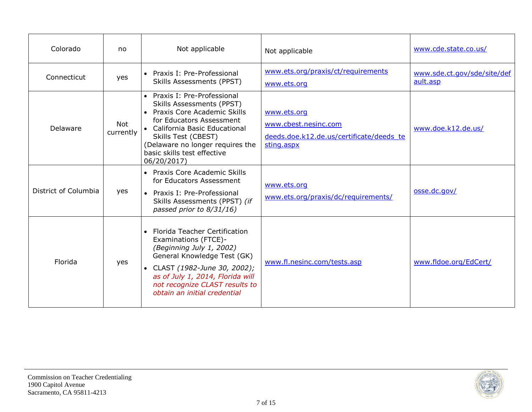| Colorado             | no               | Not applicable                                                                                                                                                                                                                                                              | Not applicable                                                                                | www.cde.state.co.us/                    |
|----------------------|------------------|-----------------------------------------------------------------------------------------------------------------------------------------------------------------------------------------------------------------------------------------------------------------------------|-----------------------------------------------------------------------------------------------|-----------------------------------------|
| Connecticut          | yes              | • Praxis I: Pre-Professional<br>Skills Assessments (PPST)                                                                                                                                                                                                                   | www.ets.org/praxis/ct/requirements<br>www.ets.org                                             | www.sde.ct.gov/sde/site/def<br>ault.asp |
| Delaware             | Not<br>currently | • Praxis I: Pre-Professional<br>Skills Assessments (PPST)<br>• Praxis Core Academic Skills<br>for Educators Assessment<br>• California Basic Educational<br>Skills Test (CBEST)<br>(Delaware no longer requires the<br>basic skills test effective<br>06/20/2017)           | www.ets.org<br>www.cbest.nesinc.com<br>deeds.doe.k12.de.us/certificate/deeds_te<br>sting.aspx | www.doe.k12.de.us/                      |
| District of Columbia | yes              | • Praxis Core Academic Skills<br>for Educators Assessment<br>Praxis I: Pre-Professional<br>$\bullet$<br>Skills Assessments (PPST) (if<br>passed prior to 8/31/16)                                                                                                           | www.ets.org<br>www.ets.org/praxis/dc/requirements/                                            | osse.dc.gov/                            |
| Florida              | yes              | <b>Florida Teacher Certification</b><br>$\bullet$<br>Examinations (FTCE)-<br>(Beginning July 1, 2002)<br>General Knowledge Test (GK)<br>• CLAST (1982-June 30, 2002);<br>as of July 1, 2014, Florida will<br>not recognize CLAST results to<br>obtain an initial credential | www.fl.nesinc.com/tests.asp                                                                   | www.fldoe.org/EdCert/                   |

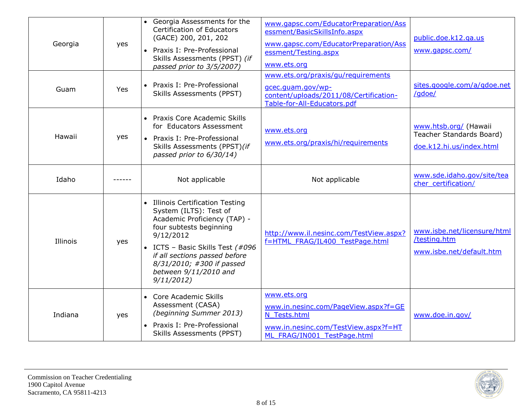| Georgia  | yes | • Georgia Assessments for the<br><b>Certification of Educators</b><br>(GACE) 200, 201, 202<br>• Praxis I: Pre-Professional<br>Skills Assessments (PPST) (if<br>passed prior to 3/5/2007)                                                                                   | www.gapsc.com/EducatorPreparation/Ass<br>essment/BasicSkillsInfo.aspx<br>www.gapsc.com/EducatorPreparation/Ass<br>essment/Testing.aspx<br>www.ets.org | public.doe.k12.ga.us<br>www.gapsc.com/                                        |
|----------|-----|----------------------------------------------------------------------------------------------------------------------------------------------------------------------------------------------------------------------------------------------------------------------------|-------------------------------------------------------------------------------------------------------------------------------------------------------|-------------------------------------------------------------------------------|
| Guam     | Yes | • Praxis I: Pre-Professional<br><b>Skills Assessments (PPST)</b>                                                                                                                                                                                                           | www.ets.org/praxis/gu/requirements<br>gcec.guam.gov/wp-<br>content/uploads/2011/08/Certification-<br>Table-for-All-Educators.pdf                      | sites.google.com/a/gdoe.net<br>/gdoe/                                         |
| Hawaii   | yes | • Praxis Core Academic Skills<br>for Educators Assessment<br>• Praxis I: Pre-Professional<br>Skills Assessments (PPST)(if<br>passed prior to 6/30/14)                                                                                                                      | www.ets.org<br>www.ets.org/praxis/hi/requirements                                                                                                     | www.htsb.org/ (Hawaii<br>Teacher Standards Board)<br>doe.k12.hi.us/index.html |
| Idaho    |     | Not applicable                                                                                                                                                                                                                                                             | Not applicable                                                                                                                                        | www.sde.idaho.gov/site/tea<br>cher certification/                             |
| Illinois | yes | • Illinois Certification Testing<br>System (ILTS): Test of<br>Academic Proficiency (TAP) -<br>four subtests beginning<br>9/12/2012<br>• ICTS - Basic Skills Test (#096<br>if all sections passed before<br>8/31/2010; #300 if passed<br>between 9/11/2010 and<br>9/11/2012 | http://www.il.nesinc.com/TestView.aspx?<br>f=HTML FRAG/IL400 TestPage.html                                                                            | www.isbe.net/licensure/html<br>/testing.htm<br>www.isbe.net/default.htm       |
| Indiana  | yes | Core Academic Skills<br>$\bullet$<br>Assessment (CASA)<br>(beginning Summer 2013)<br>Praxis I: Pre-Professional<br><b>Skills Assessments (PPST)</b>                                                                                                                        | www.ets.org<br>www.in.nesinc.com/PageView.aspx?f=GE<br>N Tests.html<br>www.in.nesinc.com/TestView.aspx?f=HT<br>ML FRAG/IN001 TestPage.html            | www.doe.in.gov/                                                               |

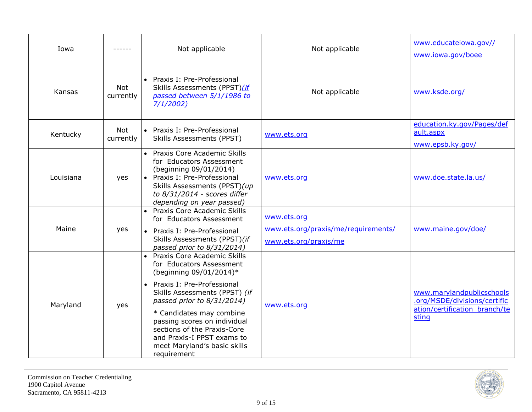| Iowa      |                         | Not applicable                                                                                                                                                                                                                                                                                                                                                         | Not applicable                                                              | www.educateiowa.gov//<br>www.iowa.gov/boee                                                          |
|-----------|-------------------------|------------------------------------------------------------------------------------------------------------------------------------------------------------------------------------------------------------------------------------------------------------------------------------------------------------------------------------------------------------------------|-----------------------------------------------------------------------------|-----------------------------------------------------------------------------------------------------|
| Kansas    | <b>Not</b><br>currently | • Praxis I: Pre-Professional<br>Skills Assessments (PPST)(if<br>passed between 5/1/1986 to<br>7/1/2002)                                                                                                                                                                                                                                                                | Not applicable                                                              | www.ksde.org/                                                                                       |
| Kentucky  | <b>Not</b><br>currently | • Praxis I: Pre-Professional<br><b>Skills Assessments (PPST)</b>                                                                                                                                                                                                                                                                                                       | www.ets.org                                                                 | education.ky.gov/Pages/def<br>ault.aspx<br>www.epsb.ky.gov/                                         |
| Louisiana | yes                     | • Praxis Core Academic Skills<br>for Educators Assessment<br>(beginning 09/01/2014)<br>• Praxis I: Pre-Professional<br>Skills Assessments (PPST)(up<br>to 8/31/2014 - scores differ<br>depending on year passed)                                                                                                                                                       | www.ets.org                                                                 | www.doe.state.la.us/                                                                                |
| Maine     | yes                     | • Praxis Core Academic Skills<br>for Educators Assessment<br>• Praxis I: Pre-Professional<br>Skills Assessments (PPST)(if<br>passed prior to 8/31/2014)                                                                                                                                                                                                                | www.ets.org<br>www.ets.org/praxis/me/requirements/<br>www.ets.org/praxis/me | www.maine.gov/doe/                                                                                  |
| Maryland  | yes                     | • Praxis Core Academic Skills<br>for Educators Assessment<br>(beginning 09/01/2014)*<br>Praxis I: Pre-Professional<br>$\bullet$<br>Skills Assessments (PPST) (if<br>passed prior to 8/31/2014)<br>* Candidates may combine<br>passing scores on individual<br>sections of the Praxis-Core<br>and Praxis-I PPST exams to<br>meet Maryland's basic skills<br>requirement | www.ets.org                                                                 | www.marylandpublicschools<br>.org/MSDE/divisions/certific<br>ation/certification branch/te<br>sting |

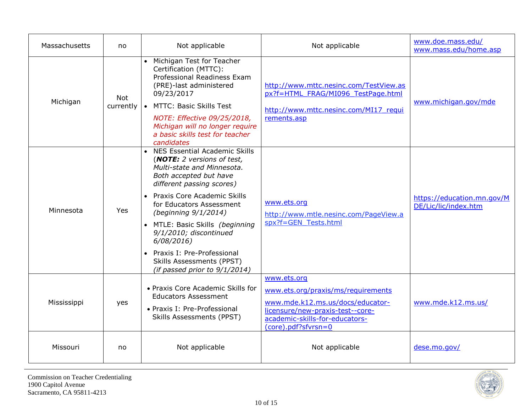| Massachusetts | no                      | Not applicable                                                                                                                                                                                                                                                                                                                                                                                                       | Not applicable                                                                                                                                                                     | www.doe.mass.edu/<br>www.mass.edu/home.asp         |
|---------------|-------------------------|----------------------------------------------------------------------------------------------------------------------------------------------------------------------------------------------------------------------------------------------------------------------------------------------------------------------------------------------------------------------------------------------------------------------|------------------------------------------------------------------------------------------------------------------------------------------------------------------------------------|----------------------------------------------------|
| Michigan      | <b>Not</b><br>currently | • Michigan Test for Teacher<br>Certification (MTTC):<br>Professional Readiness Exam<br>(PRE)-last administered<br>09/23/2017<br>• MTTC: Basic Skills Test<br>NOTE: Effective 09/25/2018,<br>Michigan will no longer require<br>a basic skills test for teacher<br>candidates                                                                                                                                         | http://www.mttc.nesinc.com/TestView.as<br>px?f=HTML FRAG/MI096 TestPage.html<br>http://www.mttc.nesinc.com/MI17 requi<br>rements.asp                                               | www.michigan.gov/mde                               |
| Minnesota     | Yes.                    | • NES Essential Academic Skills<br>(NOTE: 2 versions of test,<br>Multi-state and Minnesota.<br>Both accepted but have<br>different passing scores)<br>• Praxis Core Academic Skills<br>for Educators Assessment<br>(beginning 9/1/2014)<br>• MTLE: Basic Skills (beginning<br>9/1/2010; discontinued<br>6/08/2016<br>Praxis I: Pre-Professional<br><b>Skills Assessments (PPST)</b><br>(if passed prior to 9/1/2014) | www.ets.org<br>http://www.mtle.nesinc.com/PageView.a<br>spx?f=GEN Tests.html                                                                                                       | https://education.mn.gov/M<br>DE/Lic/lic/index.htm |
| Mississippi   | yes                     | • Praxis Core Academic Skills for<br><b>Educators Assessment</b><br>• Praxis I: Pre-Professional<br><b>Skills Assessments (PPST)</b>                                                                                                                                                                                                                                                                                 | www.ets.org<br>www.ets.org/praxis/ms/requirements<br>www.mde.k12.ms.us/docs/educator-<br>licensure/new-praxis-test--core-<br>academic-skills-for-educators-<br>(core).pdf?sfvrsn=0 | www.mde.k12.ms.us/                                 |
| Missouri      | no                      | Not applicable                                                                                                                                                                                                                                                                                                                                                                                                       | Not applicable                                                                                                                                                                     | dese.mo.gov/                                       |

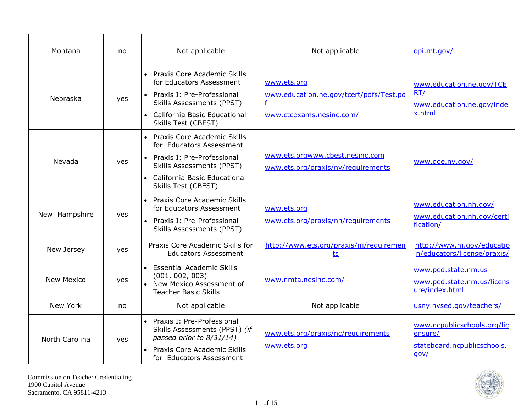| Montana           | no  | Not applicable                                                                                                                                                                         | Not applicable                                                                          | opi.mt.gov/                                                                   |
|-------------------|-----|----------------------------------------------------------------------------------------------------------------------------------------------------------------------------------------|-----------------------------------------------------------------------------------------|-------------------------------------------------------------------------------|
| Nebraska          | yes | • Praxis Core Academic Skills<br>for Educators Assessment<br>• Praxis I: Pre-Professional<br><b>Skills Assessments (PPST)</b><br>• California Basic Educational<br>Skills Test (CBEST) | www.ets.org<br>www.education.ne.gov/tcert/pdfs/Test.pd<br>f<br>www.ctcexams.nesinc.com/ | www.education.ne.gov/TCE<br>RT/<br>www.education.ne.gov/inde<br>x.html        |
| Nevada            | yes | • Praxis Core Academic Skills<br>for Educators Assessment<br>• Praxis I: Pre-Professional<br><b>Skills Assessments (PPST)</b><br>• California Basic Educational<br>Skills Test (CBEST) | www.ets.orgwww.cbest.nesinc.com<br>www.ets.org/praxis/nv/requirements                   | www.doe.nv.gov/                                                               |
| New Hampshire     | yes | • Praxis Core Academic Skills<br>for Educators Assessment<br>• Praxis I: Pre-Professional<br><b>Skills Assessments (PPST)</b>                                                          | www.ets.org<br>www.ets.org/praxis/nh/requirements                                       | www.education.nh.gov/<br>www.education.nh.gov/certi<br>fication/              |
| New Jersey        | yes | Praxis Core Academic Skills for<br><b>Educators Assessment</b>                                                                                                                         | http://www.ets.org/praxis/nj/requiremen<br><u>ts</u>                                    | http://www.nj.gov/educatio<br>n/educators/license/praxis/                     |
| <b>New Mexico</b> | yes | • Essential Academic Skills<br>(001, 002, 003)<br>• New Mexico Assessment of<br><b>Teacher Basic Skills</b>                                                                            | www.nmta.nesinc.com/                                                                    | www.ped.state.nm.us<br>www.ped.state.nm.us/licens<br>ure/index.html           |
| New York          | no  | Not applicable                                                                                                                                                                         | Not applicable                                                                          | usny.nysed.gov/teachers/                                                      |
| North Carolina    | yes | • Praxis I: Pre-Professional<br>Skills Assessments (PPST) (if<br>passed prior to 8/31/14)<br>Praxis Core Academic Skills<br>for Educators Assessment                                   | www.ets.org/praxis/nc/requirements<br>www.ets.org                                       | www.ncpublicschools.org/lic<br>ensure/<br>stateboard.ncpublicschools.<br>qov/ |

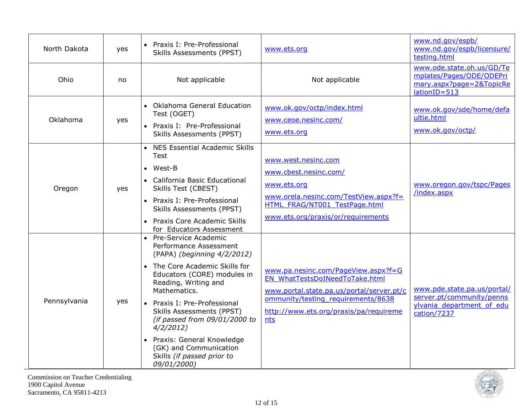| North Dakota | yes | Praxis I: Pre-Professional<br>$\bullet$<br><b>Skills Assessments (PPST)</b>                                                                                                                                                                                                                                                                                                                             | www.ets.org                                                                                                                                                                                               | www.nd.gov/espb/<br>www.nd.gov/espb/licensure/<br>testing.html                                       |
|--------------|-----|---------------------------------------------------------------------------------------------------------------------------------------------------------------------------------------------------------------------------------------------------------------------------------------------------------------------------------------------------------------------------------------------------------|-----------------------------------------------------------------------------------------------------------------------------------------------------------------------------------------------------------|------------------------------------------------------------------------------------------------------|
| Ohio         | no  | Not applicable                                                                                                                                                                                                                                                                                                                                                                                          | Not applicable                                                                                                                                                                                            | www.ode.state.oh.us/GD/Te<br>mplates/Pages/ODE/ODEPri<br>mary.aspx?page=2&TopicRe<br>lationID=513    |
| Oklahoma     | yes | • Oklahoma General Education<br>Test (OGET)<br>Praxis I: Pre-Professional<br>$\bullet$<br><b>Skills Assessments (PPST)</b>                                                                                                                                                                                                                                                                              | www.ok.gov/octp/index.html<br>www.ceoe.nesinc.com/<br>www.ets.org                                                                                                                                         | www.ok.gov/sde/home/defa<br>ultie.html<br>www.ok.gov/octp/                                           |
| Oregon       | yes | NES Essential Academic Skills<br><b>Test</b><br>West-B<br>• California Basic Educational<br>Skills Test (CBEST)<br>• Praxis I: Pre-Professional<br><b>Skills Assessments (PPST)</b><br>Praxis Core Academic Skills<br>for Educators Assessment                                                                                                                                                          | www.west.nesinc.com<br>www.cbest.nesinc.com/<br>www.ets.org<br>www.orela.nesinc.com/TestView.aspx?f=<br>HTML FRAG/NT001 TestPage.html<br>www.ets.org/praxis/or/requirements                               | www.oregon.gov/tspc/Pages<br>/index.aspx                                                             |
| Pennsylvania | yes | Pre-Service Academic<br>Performance Assessment<br>(PAPA) (beginning 4/2/2012)<br>The Core Academic Skills for<br>Educators (CORE) modules in<br>Reading, Writing and<br>Mathematics.<br>Praxis I: Pre-Professional<br><b>Skills Assessments (PPST)</b><br>(if passed from 09/01/2000 to<br>4/2/2012<br>Praxis: General Knowledge<br>(GK) and Communication<br>Skills (if passed prior to<br>09/01/2000) | www.pa.nesinc.com/PageView.aspx?f=G<br>EN WhatTestsDoINeedToTake.html<br>www.portal.state.pa.us/portal/server.pt/c<br>ommunity/testing requirements/8638<br>http://www.ets.org/praxis/pa/requireme<br>nts | www.pde.state.pa.us/portal/<br>server.pt/community/penns<br>ylvania department of edu<br>cation/7237 |

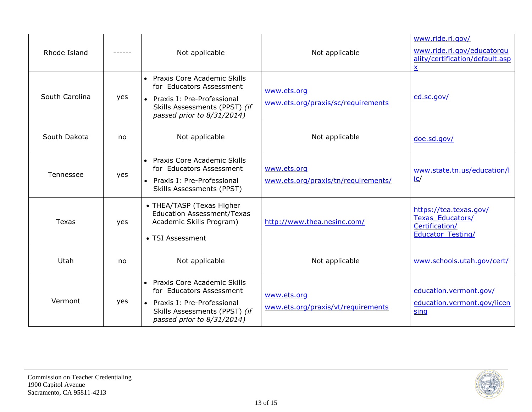| Rhode Island   |     | Not applicable                                                                                                                                           | Not applicable                                     | www.ride.ri.gov/<br>www.ride.ri.gov/educatorgu<br>ality/certification/default.asp<br>X   |
|----------------|-----|----------------------------------------------------------------------------------------------------------------------------------------------------------|----------------------------------------------------|------------------------------------------------------------------------------------------|
| South Carolina | yes | • Praxis Core Academic Skills<br>for Educators Assessment<br>• Praxis I: Pre-Professional<br>Skills Assessments (PPST) (if<br>passed prior to 8/31/2014) | www.ets.org<br>www.ets.org/praxis/sc/requirements  | ed.sc.gov/                                                                               |
| South Dakota   | no  | Not applicable                                                                                                                                           | Not applicable                                     | doe.sd.gov/                                                                              |
| Tennessee      | yes | • Praxis Core Academic Skills<br>for Educators Assessment<br>• Praxis I: Pre-Professional<br>Skills Assessments (PPST)                                   | www.ets.org<br>www.ets.org/praxis/tn/requirements/ | www.state.tn.us/education/l<br>$i$ c/                                                    |
| Texas          | yes | • THEA/TASP (Texas Higher<br><b>Education Assessment/Texas</b><br>Academic Skills Program)<br>• TSI Assessment                                           | http://www.thea.nesinc.com/                        | https://tea.texas.gov/<br>Texas_Educators/<br>Certification/<br><b>Educator Testing/</b> |
| Utah           | no  | Not applicable                                                                                                                                           | Not applicable                                     | www.schools.utah.gov/cert/                                                               |
| Vermont        | yes | • Praxis Core Academic Skills<br>for Educators Assessment<br>• Praxis I: Pre-Professional<br>Skills Assessments (PPST) (if<br>passed prior to 8/31/2014) | www.ets.org<br>www.ets.org/praxis/vt/requirements  | education.vermont.gov/<br>education.vermont.gov/licen<br>sing                            |

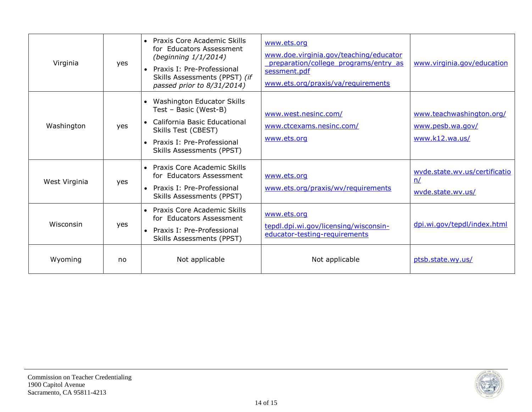| Virginia      | yes | <b>Praxis Core Academic Skills</b><br>$\bullet$<br>for Educators Assessment<br>(beginning 1/1/2014)<br>Praxis I: Pre-Professional<br>Skills Assessments (PPST) (if<br>passed prior to 8/31/2014) | www.ets.org<br>www.doe.virginia.gov/teaching/educator<br>preparation/college_programs/entry_as<br>sessment.pdf<br>www.ets.org/praxis/va/requirements | www.virginia.gov/education                                     |
|---------------|-----|--------------------------------------------------------------------------------------------------------------------------------------------------------------------------------------------------|------------------------------------------------------------------------------------------------------------------------------------------------------|----------------------------------------------------------------|
| Washington    | yes | Washington Educator Skills<br>Test - Basic (West-B)<br>• California Basic Educational<br>Skills Test (CBEST)<br>• Praxis I: Pre-Professional<br>Skills Assessments (PPST)                        | www.west.nesinc.com/<br>www.ctcexams.nesinc.com/<br>www.ets.org                                                                                      | www.teachwashington.org/<br>www.pesb.wa.gov/<br>www.k12.wa.us/ |
| West Virginia | yes | • Praxis Core Academic Skills<br>for Educators Assessment<br>• Praxis I: Pre-Professional<br>Skills Assessments (PPST)                                                                           | www.ets.org<br>www.ets.org/praxis/wv/requirements                                                                                                    | wyde.state.wv.us/certificatio<br>n/<br>wvde.state.wv.us/       |
| Wisconsin     | yes | • Praxis Core Academic Skills<br>for Educators Assessment<br>• Praxis I: Pre-Professional<br>Skills Assessments (PPST)                                                                           | www.ets.org<br>tepdl.dpi.wi.gov/licensing/wisconsin-<br>educator-testing-requirements                                                                | dpi.wi.gov/tepdl/index.html                                    |
| Wyoming       | no  | Not applicable                                                                                                                                                                                   | Not applicable                                                                                                                                       | ptsb.state.wy.us/                                              |